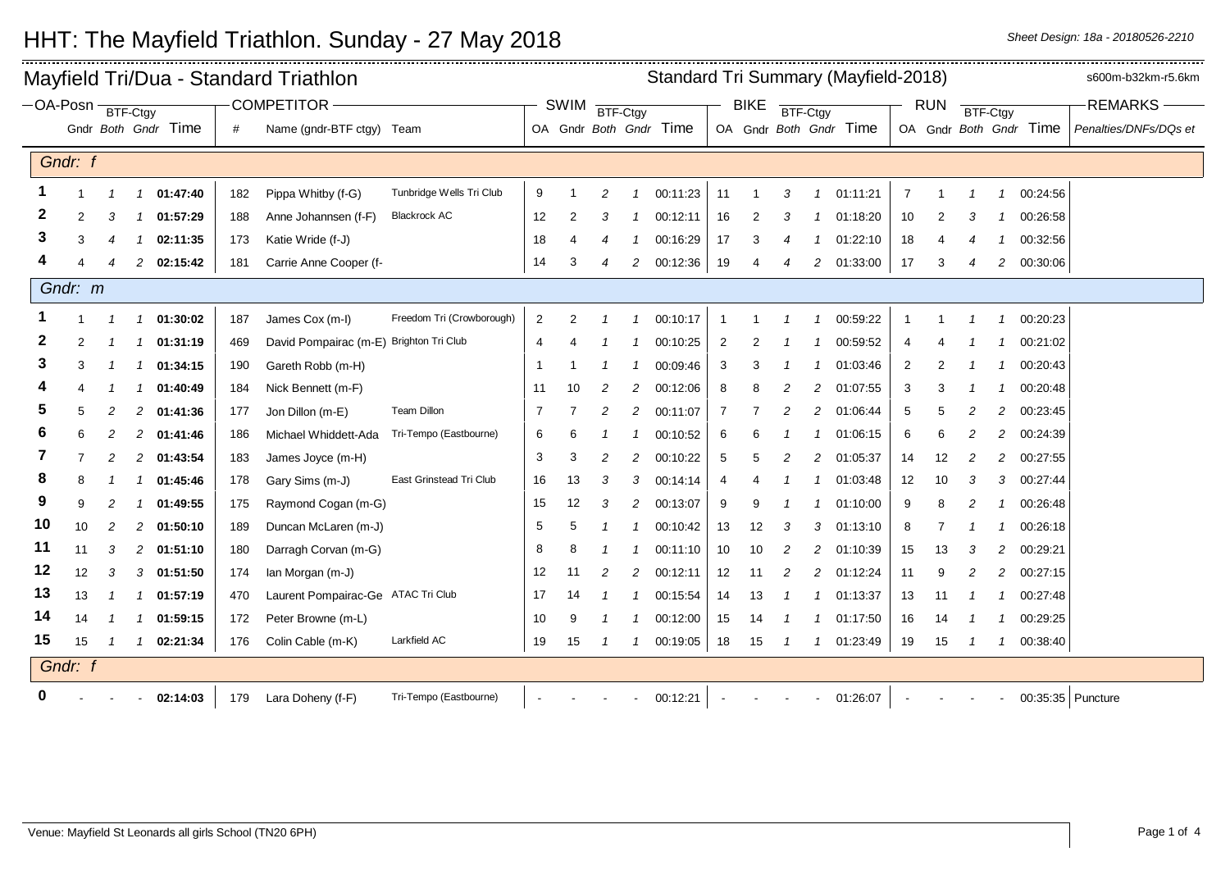|         |         |                                        | Mayfield Tri/Dua - Standard Triathlon |                     | Standard Tri Summary (Mayfield-2018) |                                         |                           |                |             |                |                |                        |                         |    |               |                | s600m-b32km-r5.6km     |                |                        |                |                         |                        |                       |
|---------|---------|----------------------------------------|---------------------------------------|---------------------|--------------------------------------|-----------------------------------------|---------------------------|----------------|-------------|----------------|----------------|------------------------|-------------------------|----|---------------|----------------|------------------------|----------------|------------------------|----------------|-------------------------|------------------------|-----------------------|
|         |         | <b>COMPETITOR</b><br>-OA-Posn BTF-Ctgy |                                       |                     |                                      |                                         |                           |                | <b>SWIM</b> | BTF-Ctgy       |                |                        | <b>BIKE</b><br>BTF-Ctgy |    |               |                |                        |                | <b>RUN</b><br>BTF-Ctgy |                |                         |                        | <b>REMARKS-</b>       |
|         |         |                                        |                                       | Gndr Both Gndr Time | #                                    | Name (gndr-BTF ctgy) Team               |                           |                |             |                |                | OA Gndr Both Gndr Time |                         |    |               |                | OA Gndr Both Gndr Time |                |                        |                |                         | OA Gndr Both Gndr Time | Penalties/DNFs/DQs et |
|         | Gndr: f |                                        |                                       |                     |                                      |                                         |                           |                |             |                |                |                        |                         |    |               |                |                        |                |                        |                |                         |                        |                       |
|         |         | $\mathcal I$                           | $\overline{1}$                        | 01:47:40            | 182                                  | Pippa Whitby (f-G)                      | Tunbridge Wells Tri Club  | 9              |             | $\overline{c}$ |                | 00:11:23               | 11                      |    | 3             | 1              | 01:11:21               | $\overline{7}$ | -1                     | $\mathcal I$   | $\overline{\mathbf{1}}$ | 00:24:56               |                       |
| 2       | 2       | 3                                      | $\mathcal I$                          | 01:57:29            | 188                                  | Anne Johannsen (f-F)                    | <b>Blackrock AC</b>       | 12             | 2           | 3              |                | 00:12:11               | 16                      |    | 3             |                | 01:18:20               | 10             |                        | 3              |                         | 00:26:58               |                       |
| 3       | 3       |                                        |                                       |                     |                                      |                                         |                           |                |             |                |                |                        | 17                      | 3  |               |                |                        |                |                        |                |                         |                        |                       |
|         |         |                                        |                                       | 02:11:35            | 173                                  | Katie Wride (f-J)                       |                           | 18<br>14       |             |                |                | 00:16:29               |                         |    | 4             |                | 01:22:10               | 18<br>17       |                        |                |                         | 00:32:56               |                       |
|         |         |                                        | 2                                     | 02:15:42            | 181                                  | Carrie Anne Cooper (f-                  |                           |                | 3           | 4              | $\overline{c}$ | 00:12:36               | 19                      | 4  | 4             | 2              | 01:33:00               |                | 3                      | 4              | 2                       | 00:30:06               |                       |
| Gndr: m |         |                                        |                                       |                     |                                      |                                         |                           |                |             |                |                |                        |                         |    |               |                |                        |                |                        |                |                         |                        |                       |
|         |         |                                        | $\mathcal{I}$                         | 01:30:02            | 187                                  | James Cox (m-I)                         | Freedom Tri (Crowborough) | $\overline{c}$ | 2           |                |                | 00:10:17               |                         |    |               |                | 00:59:22               |                |                        |                |                         | 00:20:23               |                       |
| 2       | 2       |                                        | -1                                    | 01:31:19            | 469                                  | David Pompairac (m-E) Brighton Tri Club |                           | 4              |             |                |                | 00:10:25               | 2                       |    |               |                | 00:59:52               | 4              |                        |                |                         | 00:21:02               |                       |
| 3       | 3       |                                        | -1                                    | 01:34:15            | 190                                  | Gareth Robb (m-H)                       |                           | -1             |             |                |                | 00:09:46               | 3                       | 3  |               |                | 01:03:46               | $\overline{2}$ |                        |                |                         | 00:20:43               |                       |
|         |         |                                        | $\mathcal I$                          | 01:40:49            | 184                                  | Nick Bennett (m-F)                      |                           | 11             | 10          | 2              | 2              | 00:12:06               | 8                       |    |               | 2              | 01:07:55               | 3              |                        |                |                         | 00:20:48               |                       |
| 5       | 5       | 2                                      | $\overline{c}$                        | 01:41:36            | 177                                  | Jon Dillon (m-E)                        | Team Dillon               | 7              | 7           | 2              | 2              | 00:11:07               | 7                       |    | 2             | 2              | 01:06:44               | 5              | 5                      | 2              | 2                       | 00:23:45               |                       |
| 6       | 6       | 2                                      | 2                                     | 01:41:46            | 186                                  | Michael Whiddett-Ada                    | Tri-Tempo (Eastbourne)    | 6              | 6           | -1             |                | 00:10:52               | 6                       | 6  |               |                | 01:06:15               | 6              | 6                      | 2              | 2                       | 00:24:39               |                       |
| 7       |         |                                        | 2                                     | 01:43:54            | 183                                  | James Joyce (m-H)                       |                           | 3              | 3           | 2              | 2              | 00:10:22               | 5                       |    |               | 2              | 01:05:37               | 14             | 12                     |                | 2                       | 00:27:55               |                       |
| 8       | 8       |                                        | -1                                    | 01:45:46            | 178                                  | Gary Sims (m-J)                         | East Grinstead Tri Club   | 16             | 13          | 3              | 3              | 00:14:14               | 4                       |    |               |                | 01:03:48               | 12             | 10                     | 3              | 3                       | 00:27:44               |                       |
| 9       | 9       | 2                                      | -1                                    | 01:49:55            | 175                                  | Raymond Cogan (m-G)                     |                           | 15             | 12          | 3              | $\overline{c}$ | 00:13:07               | 9                       | 9  |               |                | 01:10:00               | 9              | 8                      | 2              |                         | 00:26:48               |                       |
| 10      | 10      |                                        | $\overline{c}$                        | 01:50:10            | 189                                  | Duncan McLaren (m-J)                    |                           | 5              | 5           |                |                | 00:10:42               | 13                      | 12 | 3             | 3              | 01:13:10               | 8              |                        |                |                         | 00:26:18               |                       |
| 11      | 11      | 3                                      | $\overline{2}$                        | 01:51:10            | 180                                  | Darragh Corvan (m-G)                    |                           | 8              | 8           |                |                | 00:11:10               | 10                      | 10 | 2             | $\overline{c}$ | 01:10:39               | 15             | 13                     | 3              | 2                       | 00:29:21               |                       |
| 12      | 12      | 3                                      | 3                                     | 01:51:50            | 174                                  | lan Morgan (m-J)                        |                           | 12             | 11          | 2              | 2              | 00:12:11               | 12                      | 11 | 2             | 2              | 01:12:24               | 11             | 9                      | 2              | 2                       | 00:27:15               |                       |
| 13      | 13      |                                        | -1                                    | 01:57:19            | 470                                  | Laurent Pompairac-Ge ATAC Tri Club      |                           | 17             | 14          |                |                | 00:15:54               | 14                      | 13 |               | 1              | 01:13:37               | 13             | 11                     |                | $\overline{1}$          | 00:27:48               |                       |
| 14      | 14      |                                        | $\mathcal{I}$                         | 01:59:15            | 172                                  | Peter Browne (m-L)                      |                           | 10             | 9           |                |                | 00:12:00               | 15                      | 14 | 1             | 1              | 01:17:50               | 16             | 14                     | $\mathcal I$   | -1                      | 00:29:25               |                       |
| 15      | 15      | -1                                     | $\overline{1}$                        | 02:21:34            | 176                                  | Colin Cable (m-K)                       | Larkfield AC              | 19             | 15          | $\mathcal I$   | $\mathcal I$   | 00:19:05               | 18                      | 15 | $\mathcal{I}$ | $\mathcal{I}$  | 01:23:49               | 19             | 15                     | $\overline{1}$ | $\mathcal I$            | 00:38:40               |                       |
|         | Gndr: f |                                        |                                       |                     |                                      |                                         |                           |                |             |                |                |                        |                         |    |               |                |                        |                |                        |                |                         |                        |                       |
| 0       |         |                                        |                                       | 02:14:03            |                                      | 179 Lara Doheny (f-F)                   | Tri-Tempo (Eastbourne)    |                |             |                |                | 00:12:21               |                         |    |               |                | 01:26:07               |                |                        |                |                         |                        | 00:35:35 Puncture     |

## HHT: The Mayfield Triathlon. Sunday - 27 May 2018 **Share In the Share of Sheet Design: 18a** - 20180526-2210

 $\overline{...}$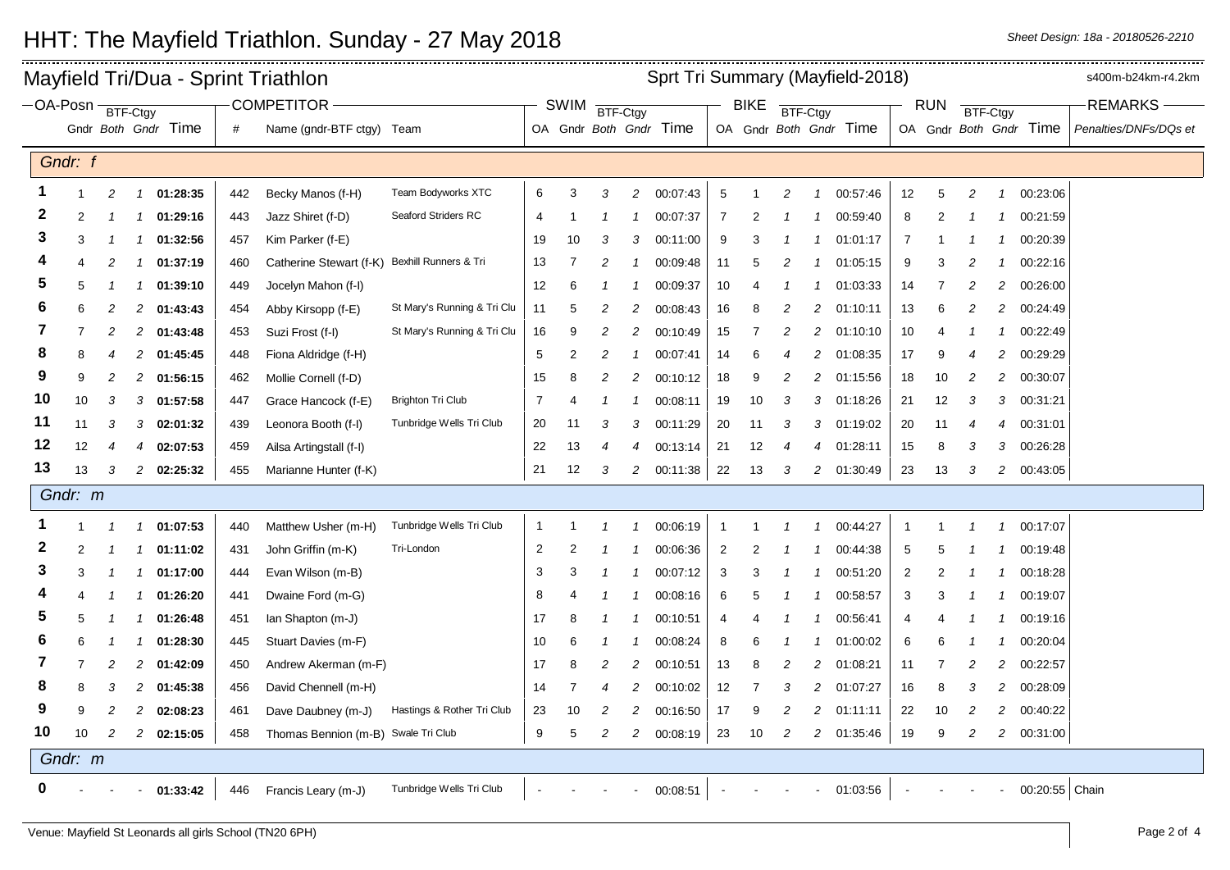|                                        | Sprt Tri Summary (Mayfield-2018)<br>Mayfield Tri/Dua - Sprint Triathlon |                |                |                     |     |                                     |                             |                |                |                  |                |                        |                |          |                | s400m-b24km-r4.2km |                        |                |    |                |                |                        |                       |
|----------------------------------------|-------------------------------------------------------------------------|----------------|----------------|---------------------|-----|-------------------------------------|-----------------------------|----------------|----------------|------------------|----------------|------------------------|----------------|----------|----------------|--------------------|------------------------|----------------|----|----------------|----------------|------------------------|-----------------------|
| <b>COMPETITOR</b><br>-OA-Posn BTF-Ctgy |                                                                         |                |                |                     |     |                                     |                             | SWIM           |                | BTF-Ctgy         |                |                        | <b>BIKE</b>    | BTF-Ctgy |                |                    | <b>RUN</b><br>BTF-Ctgy |                |    |                |                | <b>REMARKS</b>         |                       |
|                                        |                                                                         |                |                | Gndr Both Gndr Time | #   | Name (gndr-BTF ctgy) Team           |                             |                |                |                  |                | OA Gndr Both Gndr Time |                |          |                |                    | OA Gndr Both Gndr Time |                |    |                |                | OA Gndr Both Gndr Time | Penalties/DNFs/DQs et |
|                                        | Gndr: f                                                                 |                |                |                     |     |                                     |                             |                |                |                  |                |                        |                |          |                |                    |                        |                |    |                |                |                        |                       |
| -1                                     |                                                                         | 2              | $\overline{1}$ | 01:28:35            | 442 | Becky Manos (f-H)                   | Team Bodyworks XTC          | 6              | 3              | 3                | 2              | 00:07:43               | 5              |          | $\overline{c}$ | $\overline{1}$     | 00:57:46               | 12             | 5  | 2              | $\mathbf 1$    | 00:23:06               |                       |
| 2                                      | 2                                                                       |                | -1             | 01:29:16            | 443 | Jazz Shiret (f-D)                   | Seaford Striders RC         | 4              |                |                  |                | 00:07:37               | 7              |          |                |                    | 00:59:40               | 8              | 2  |                |                | 00:21:59               |                       |
| 3                                      | 3                                                                       |                | $\mathcal I$   | 01:32:56            | 457 | Kim Parker (f-E)                    |                             | 19             | 10             | 3                | 3              | 00:11:00               | 9              |          |                |                    | 01:01:17               | $\overline{7}$ |    |                |                | 00:20:39               |                       |
| 4                                      | 4                                                                       | 2              | $\mathcal I$   | 01:37:19            | 460 | Catherine Stewart (f-K)             | Bexhill Runners & Tri       | 13             | 7              | 2                |                | 00:09:48               | 11             | 5        | 2              |                    | 01:05:15               | 9              | 3  | 2              |                | 00:22:16               |                       |
| 5                                      | 5                                                                       | -1             | -1             | 01:39:10            | 449 | Jocelyn Mahon (f-I)                 |                             | 12             | 6              |                  |                | 00:09:37               | 10             |          |                |                    | 01:03:33               | 14             | 7  | 2              | $\overline{c}$ | 00:26:00               |                       |
| 6                                      | 6                                                                       | 2              | $\overline{c}$ | 01:43:43            | 454 | Abby Kirsopp (f-E)                  | St Mary's Running & Tri Clu | 11             | 5              | $\overline{c}$   | 2              | 00:08:43               | 16             | 8        | $\overline{c}$ | $\overline{c}$     | 01:10:11               | 13             | 6  | 2              | $\overline{c}$ | 00:24:49               |                       |
| 7                                      | 7                                                                       | 2              | 2              | 01:43:48            | 453 | Suzi Frost (f-l)                    | St Mary's Running & Tri Clu | 16             | 9              | 2                | 2              | 00:10:49               | 15             | 7        | 2              | $\overline{c}$     | 01:10:10               | 10             | 4  |                |                | 00:22:49               |                       |
| 8                                      | 8                                                                       |                | 2              | 01:45:45            | 448 | Fiona Aldridge (f-H)                |                             | 5              | $\overline{2}$ | $\overline{c}$   |                | 00:07:41               | 14             | 6        | 4              | 2                  | 01:08:35               | 17             | 9  | 4              | $\overline{2}$ | 00:29:29               |                       |
| 9                                      | 9                                                                       | 2              | 2              | 01:56:15            | 462 | Mollie Cornell (f-D)                |                             | 15             | 8              | $\overline{c}$   | 2              | 00:10:12               | 18             | 9        | $\overline{c}$ | $\overline{c}$     | 01:15:56               | 18             | 10 | 2              | $\overline{c}$ | 00:30:07               |                       |
| 10                                     | 10                                                                      | 3              | 3              | 01:57:58            | 447 | Grace Hancock (f-E)                 | <b>Brighton Tri Club</b>    | $\overline{7}$ | 4              |                  |                | 00:08:11               | 19             | 10       | 3              | 3                  | 01:18:26               | 21             | 12 | 3              | 3              | 00:31:21               |                       |
| 11                                     | 11                                                                      | 3              | 3              | 02:01:32            | 439 | Leonora Booth (f-I)                 | Tunbridge Wells Tri Club    | 20             | 11             | 3                | 3              | 00:11:29               | 20             | 11       | 3              | 3                  | 01:19:02               | 20             | 11 | 4              | 4              | 00:31:01               |                       |
| 12                                     | 12                                                                      | 4              | 4              | 02:07:53            | 459 | Ailsa Artingstall (f-I)             |                             | 22             | 13             | $\overline{4}$   | 4              | 00:13:14               | 21             | 12       | $\overline{4}$ | $\overline{4}$     | 01:28:11               | 15             | 8  | 3              | 3              | 00:26:28               |                       |
| 13                                     | 13                                                                      | 3              | $\overline{2}$ | 02:25:32            | 455 | Marianne Hunter (f-K)               |                             | 21             | 12             | 3                | $\overline{2}$ | 00:11:38               | 22             | 13       | 3              | $\overline{2}$     | 01:30:49               | 23             | 13 | 3              | $\overline{c}$ | 00:43:05               |                       |
|                                        | Gndr: m                                                                 |                |                |                     |     |                                     |                             |                |                |                  |                |                        |                |          |                |                    |                        |                |    |                |                |                        |                       |
|                                        |                                                                         | $\mathcal I$   | $\mathcal{I}$  | 01:07:53            | 440 | Matthew Usher (m-H)                 | Tunbridge Wells Tri Club    | $\overline{1}$ |                |                  |                | 00:06:19               | 1              |          | -1             | $\overline{1}$     | 00:44:27               | -1             |    |                | 1              | 00:17:07               |                       |
| $\mathbf{2}$                           | 2                                                                       | 1              | $\mathcal I$   | 01:11:02            | 431 | John Griffin (m-K)                  | Tri-London                  | 2              | 2              |                  |                | 00:06:36               | $\overline{2}$ | 2        |                |                    | 00:44:38               | 5              | 5  |                | 1              | 00:19:48               |                       |
| 3                                      | 3                                                                       |                | -1             | 01:17:00            | 444 | Evan Wilson (m-B)                   |                             | 3              | 3              |                  |                | 00:07:12               | 3              | З        |                |                    | 00:51:20               | 2              | 2  |                | -1             | 00:18:28               |                       |
|                                        | 4                                                                       |                | -1             | 01:26:20            | 441 | Dwaine Ford (m-G)                   |                             | 8              |                |                  |                | 00:08:16               | 6              | 5        |                |                    | 00:58:57               | 3              | 3  |                |                | 00:19:07               |                       |
| 5                                      | 5                                                                       | 1              | $\mathcal I$   | 01:26:48            | 451 | lan Shapton (m-J)                   |                             | 17             | 8              |                  |                | 00:10:51               | 4              |          |                | 1                  | 00:56:41               | 4              | 4  |                | -1             | 00:19:16               |                       |
| 6                                      | 6                                                                       |                | -1             | 01:28:30            | 445 | Stuart Davies (m-F)                 |                             | 10             | 6              | -1               |                | 00:08:24               | 8              | ĥ        |                | -1                 | 01:00:02               | 6              | 6  |                |                | 00:20:04               |                       |
| 7                                      | 7                                                                       | $\overline{c}$ | $\overline{c}$ | 01:42:09            | 450 | Andrew Akerman (m-F)                |                             | 17             | 8              | $\overline{c}$   | 2              | 00:10:51               | 13             | 8        | $\overline{c}$ | $\overline{c}$     | 01:08:21               | 11             |    | 2              | 2              | 00:22:57               |                       |
| 8                                      | 8                                                                       | 3              | 2              | 01:45:38            | 456 | David Chennell (m-H)                |                             | 14             | -7             | $\boldsymbol{4}$ | 2              | 00:10:02               | 12             | 7        | 3              | $\overline{c}$     | 01:07:27               | 16             | 8  | 3              | 2              | 00:28:09               |                       |
| 9                                      | 9                                                                       | 2              | 2              | 02:08:23            | 461 | Dave Daubney (m-J)                  | Hastings & Rother Tri Club  | 23             | 10             | $\overline{c}$   | 2              | 00:16:50               | 17             | 9        | $\overline{c}$ | 2                  | 01:11:11               | 22             | 10 | 2              | 2              | 00:40:22               |                       |
| 10                                     | 10                                                                      | 2              | $\overline{2}$ | 02:15:05            | 458 | Thomas Bennion (m-B) Swale Tri Club |                             | 9              | 5              | $\overline{c}$   | $\overline{c}$ | 00:08:19               | 23             | 10       | $\overline{c}$ | $\overline{a}$     | 01:35:46               | 19             | 9  | $\overline{c}$ | $\overline{c}$ | 00:31:00               |                       |
|                                        | Gndr: m                                                                 |                |                |                     |     |                                     |                             |                |                |                  |                |                        |                |          |                |                    |                        |                |    |                |                |                        |                       |
| 0                                      |                                                                         |                |                | 01:33:42            | 446 | Francis Leary (m-J)                 | Tunbridge Wells Tri Club    |                |                |                  |                | 00:08:51               |                |          |                |                    | 01:03:56               |                |    |                |                | 00:20:55 Chain         |                       |

## HHT: The Mayfield Triathlon. Sunday - 27 May 2018 *Sheet Design: 18a - 20180526-2210*

×.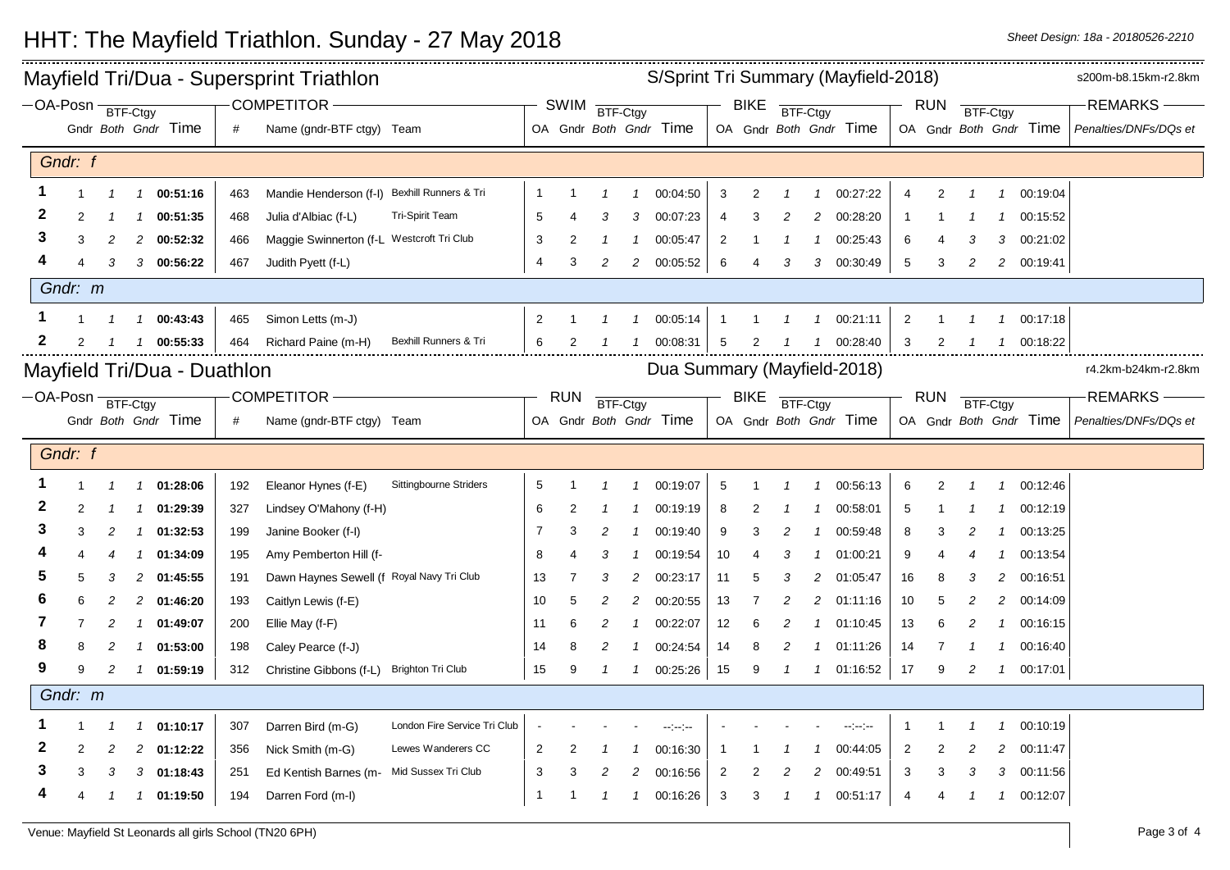\_\_\_\_\_\_\_\_\_\_\_\_\_\_\_\_\_\_\_\_\_\_\_\_ Mayfield Tri/Dua - Supersprint Triathlon S/Sprint Tri Summary (Mayfield-2018) s200m-b8.15km-r2.8km S/Sprint Tri Summary (Mayfield-2018) BTF-Ctgy OA-Posn COMPETITOR REMARKS SWIM <del>BTF-Ctgy THE BIKE BTF-Ctgy THE RUN</del> BTF-Ctgy **BTF-Ctav** Gndr *Both Gndr* Time Gndr *Both Gndr* Time *#* Name (gndr-BTF ctgy) Team *Penalties/DNFs/DQs et* OA Gndr *Both Gndr* Time | OA OA Gndr Both Gndr Time *Gndr: f* **1** 1 *1 1* **00:51:16** 463 Mandie Henderson (f-I) Bexhill Runners & Tri 1 1 *1 1* 00:04:50 3 2 *1 1* 00:27:22 4 2 *1 1* 00:19:04 **2** 2 *1 1* **00:51:35** 468 Julia d'Albiac (f-L) Tri-Spirit Team 5 4 *3 3* 00:07:23 4 3 *2 2* 00:28:20 1 1 *1 1* 00:15:52 **3** 3 *2 2* **00:52:32** 466 Maggie Swinnerton (f-L Westcroft Tri Club 3 2 *1 1* 00:05:47 2 1 *1 1* 00:25:43 6 4 *3 3* 00:21:02 **4** 4 *3 3* **00:56:22** 467 Judith Pyett (f-L) 4 3 *2 2* 00:05:52 6 4 *3 3* 00:30:49 5 3 *2 2* 00:19:41 *Gndr: m* **1** 1 *1 1* **00:43:43** 465 Simon Letts (m-J) 2 1 *1 1* 00:05:14 1 1 *1 1* 00:21:11 2 1 *1 1* 00:17:18 **2** 2 *1 1* **00:55:33** 464 Richard Paine (m-H) Bexhill Runners & Tri 6 2 *1 1* 00:08:31 5 2 *1 1* 00:28:40 3 2 *1 1* 00:18:22 Dua Summary (Mayfield-2018) Mayfield Tri/Dua - Duathlon **Mayfield Trivid and Trivid Duathlon** Duate Duathlon Duathlon Research 2018) Tristand Mayfield-2018 BTF-Ctgy OA-Posn COMPETITOR REMARKS RUN <del>BTF-Ctgy BIKE</del> BTF-Ctgy RUN **BTF-Ctav BTF-Ctav** Gndr *Both Gndr* Time OA Gndr *Both Gndr* Time *#* Name (gndr-BTF ctgy) Team *Penalties/DNFs/DQs et* OA Gndr *Both Gndr* Time | OA Gndr *Both Gndr* Time *Gndr: f* **1** 1 *1 1* **01:28:06** 192 Eleanor Hynes (f-E) Sittingbourne Striders 5 1 *1 1* 00:19:07 5 1 *1 1* 00:56:13 6 2 *1 1* 00:12:46 **2** 2 *1 1* **01:29:39** 327 Lindsey O'Mahony (f-H) 6 2 *1 1* 00:19:19 8 2 *1 1* 00:58:01 5 1 *1 1* 00:12:19 **3** 3 *2 1* **01:32:53** 199 Janine Booker (f-I) 7 3 *2 1* 00:19:40 9 3 *2 1* 00:59:48 8 3 *2 1* 00:13:25 **4** 4 *4 1* **01:34:09** 195 Amy Pemberton Hill (f- 8 4 *3 1* 00:19:54 10 4 *3 1* 01:00:21 9 4 *4 1* 00:13:54 **5** 5 *3 2* **01:45:55** 191 Dawn Haynes Sewell (f Royal Navy Tri Club 13 7 *3 2* 00:23:17 11 5 *3 2* 01:05:47 16 8 *3 2* 00:16:51 **6** 6 *2 2* **01:46:20** 193 Caitlyn Lewis (f-E) 10 5 *2 2* 00:20:55 13 7 *2 2* 01:11:16 10 5 *2 2* 00:14:09 **7** 7 *2 1* **01:49:07** 200 Ellie May (f-F) 11 6 *2 1* 00:22:07 12 6 *2 1* 01:10:45 13 6 *2 1* 00:16:15 **8** 8 *2 1* **01:53:00** 198 Caley Pearce (f-J) 14 8 *2 1* 00:24:54 14 8 *2 1* 01:11:26 14 7 *1 1* 00:16:40 **9** 9 *2 1* **01:59:19** 312 Christine Gibbons (f-L) Brighton Tri Club 15 9 *1 1* 00:25:26 15 9 *1 1* 01:16:52 17 9 *2 1* 00:17:01 *Gndr: m* **1** 1 *1 1* **01:10:17** 307 Darren Bird (m-G) London Fire Service Tri Club - - *- -* --:--:-- - - *- -* --:--:-- 1 1 *1 1* 00:10:19 **2** 2 *2 2* **01:12:22** 356 Nick Smith (m-G) Lewes Wanderers CC 2 2 *1 1* 00:16:30 1 1 *1 1* 00:44:05 2 2 *2 2* 00:11:47 **3** 3 *3 3* **01:18:43** 251 Ed Kentish Barnes (m- Mid Sussex Tri Club 3 3 *2 2* 00:16:56 2 2 *2 2* 00:49:51 3 3 *3 3* 00:11:56 **4** 4 *1 1* **01:19:50** 194 Darren Ford (m-I) 1 1 *1 1* 00:16:26 3 3 *1 1* 00:51:17 4 4 *1 1* 00:12:07

## HHT: The Mayfield Triathlon. Sunday - 27 May 2018 *Sheet Design: 18a - 20180526-2210*